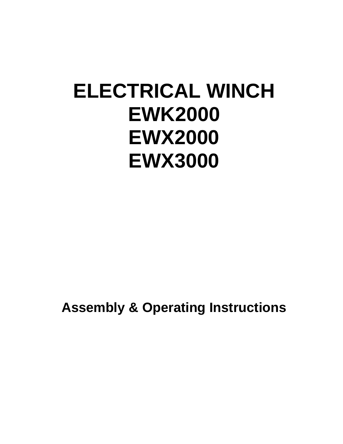# **ELECTRICAL WINCH EWK2000 EWX2000 EWX3000**

**Assembly & Operating Instructions**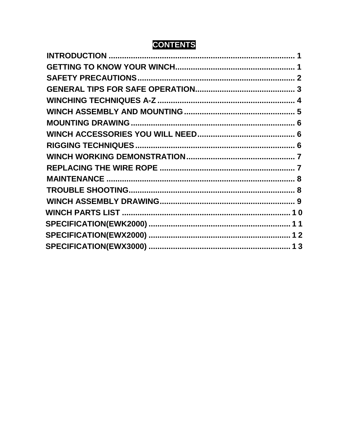## **CONTENTS**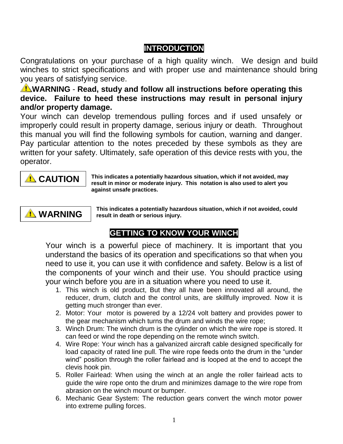## **INTRODUCTION**

Congratulations on your purchase of a high quality winch. We design and build winches to strict specifications and with proper use and maintenance should bring you years of satisfying service.

**WARNING** - Read, study and follow all instructions before operating this **device. Failure to heed these instructions may result in personal injury and/or property damage.**

Your winch can develop tremendous pulling forces and if used unsafely or improperly could result in property damage, serious injury or death. Throughout this manual you will find the following symbols for caution, warning and danger. Pay particular attention to the notes preceded by these symbols as they are written for your safety. Ultimately, safe operation of this device rests with you, the operator.



**This indicates a potentially hazardous situation, which if not avoided, may result in minor or moderate injury. This notation is also used to alert you against unsafe practices.**



**This indicates a potentially hazardous situation, which if not avoided, could result in death or serious injury.**

## **GETTING TO KNOW YOUR WINCH**

Your winch is a powerful piece of machinery. It is important that you understand the basics of its operation and specifications so that when you need to use it, you can use it with confidence and safety. Below is a list of the components of your winch and their use. You should practice using your winch before you are in a situation where you need to use it.

- 1. This winch is old product, But they all have been innovated all around, the reducer, drum, clutch and the control units, are skillfully improved. Now it is getting much stronger than ever.
- 2. Motor: Your motor is powered by a 12/24 volt battery and provides power to the gear mechanism which turns the drum and winds the wire rope;
- 3. Winch Drum: The winch drum is the cylinder on which the wire rope is stored. It can feed or wind the rope depending on the remote winch switch.
- 4. Wire Rope: Your winch has a galvanized aircraft cable designed specifically for load capacity of rated line pull. The wire rope feeds onto the drum in the "under wind" position through the roller fairlead and is looped at the end to accept the clevis hook pin.
- 5. Roller Fairlead: When using the winch at an angle the roller fairlead acts to guide the wire rope onto the drum and minimizes damage to the wire rope from abrasion on the winch mount or bumper.
- 6. Mechanic Gear System: The reduction gears convert the winch motor power into extreme pulling forces.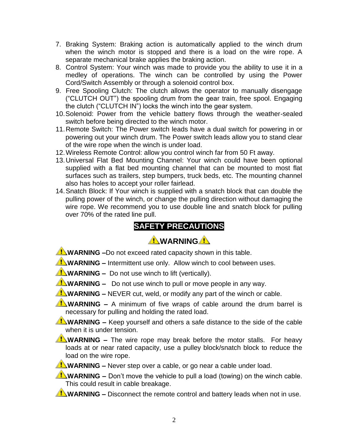- 7. Braking System: Braking action is automatically applied to the winch drum when the winch motor is stopped and there is a load on the wire rope. A separate mechanical brake applies the braking action.
- 8. Control System: Your winch was made to provide you the ability to use it in a medley of operations. The winch can be controlled by using the Power Cord/Switch Assembly or through a solenoid control box.
- 9. Free Spooling Clutch: The clutch allows the operator to manually disengage ("CLUTCH OUT") the spooling drum from the gear train, free spool. Engaging the clutch ("CLUTCH IN") locks the winch into the gear system.
- 10.Solenoid: Power from the vehicle battery flows through the weather-sealed switch before being directed to the winch motor.
- 11.Remote Switch: The Power switch leads have a dual switch for powering in or powering out your winch drum. The Power switch leads allow you to stand clear of the wire rope when the winch is under load.
- 12.Wireless Remote Control: allow you control winch far from 50 Ft away.
- 13.Universal Flat Bed Mounting Channel: Your winch could have been optional supplied with a flat bed mounting channel that can be mounted to most flat surfaces such as trailers, step bumpers, truck beds, etc. The mounting channel also has holes to accept your roller fairlead.
- 14.Snatch Block: If Your winch is supplied with a snatch block that can double the pulling power of the winch, or change the pulling direction without damaging the wire rope. We recommend you to use double line and snatch block for pulling over 70% of the rated line pull.

#### **SAFETY PRECAUTIONS**

## **WARNING**

**WARNING** –Do not exceed rated capacity shown in this table.

**WARNING** – Intermittent use only. Allow winch to cool between uses.

- **WARNING** Do not use winch to lift (vertically).
- **WARNING –** Do not use winch to pull or move people in any way.

**WARNING –** NEVER cut, weld, or modify any part of the winch or cable.

**WARNING –** A minimum of five wraps of cable around the drum barrel is necessary for pulling and holding the rated load.

**WARNING** – Keep yourself and others a safe distance to the side of the cable when it is under tension.

**WARNING** – The wire rope may break before the motor stalls. For heavy loads at or near rated capacity, use a pulley block/snatch block to reduce the load on the wire rope.

**WARNING** – Never step over a cable, or go near a cable under load.

**WARNING –** Don't move the vehicle to pull a load (towing) on the winch cable. This could result in cable breakage.

**WARNING** – Disconnect the remote control and battery leads when not in use.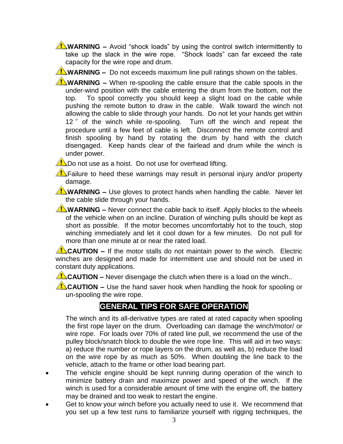**WARNING** – Avoid "shock loads" by using the control switch intermittently to take up the slack in the wire rope. "Shock loads" can far exceed the rate capacity for the wire rope and drum.

**WARNING** – Do not exceeds maximum line pull ratings shown on the tables.

**WARNING** – When re-spooling the cable ensure that the cable spools in the under-wind position with the cable entering the drum from the bottom, not the top. To spool correctly you should keep a slight load on the cable while pushing the remote button to draw in the cable. Walk toward the winch not allowing the cable to slide through your hands. Do not let your hands get within 12 " of the winch while re-spooling. Turn off the winch and repeat the procedure until a few feet of cable is left. Disconnect the remote control and finish spooling by hand by rotating the drum by hand with the clutch disengaged. Keep hands clear of the fairlead and drum while the winch is under power.

**Do not use as a hoist.** Do not use for overhead lifting.

**T** Failure to heed these warnings may result in personal injury and/or property damage.

**WARNING** – Use gloves to protect hands when handling the cable. Never let the cable slide through your hands.

**WARNING** – Never connect the cable back to itself. Apply blocks to the wheels of the vehicle when on an incline. Duration of winching pulls should be kept as short as possible. If the motor becomes uncomfortably hot to the touch, stop winching immediately and let it cool down for a few minutes. Do not pull for more than one minute at or near the rated load.

**CAUTION** – If the motor stalls do not maintain power to the winch. Electric winches are designed and made for intermittent use and should not be used in constant duty applications.

**CAUTION –** Never disengage the clutch when there is a load on the winch..

**CAUTION –** Use the hand saver hook when handling the hook for spooling or un-spooling the wire rope.

#### **GENERAL TIPS FOR SAFE OPERATION**

The winch and its all-derivative types are rated at rated capacity when spooling the first rope layer on the drum. Overloading can damage the winch/motor/ or wire rope. For loads over 70% of rated line pull, we recommend the use of the pulley block/snatch block to double the wire rope line. This will aid in two ways: a) reduce the number or rope layers on the drum, as well as, b) reduce the load on the wire rope by as much as 50%. When doubling the line back to the vehicle, attach to the frame or other load bearing part.

- The vehicle engine should be kept running during operation of the winch to minimize battery drain and maximize power and speed of the winch. If the winch is used for a considerable amount of time with the engine off, the battery may be drained and too weak to restart the engine.
- Get to know your winch before you actually need to use it. We recommend that you set up a few test runs to familiarize yourself with rigging techniques, the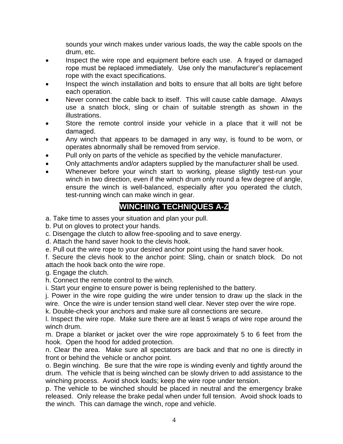sounds your winch makes under various loads, the way the cable spools on the drum, etc.

- Inspect the wire rope and equipment before each use. A frayed or damaged rope must be replaced immediately. Use only the manufacturer's replacement rope with the exact specifications.
- Inspect the winch installation and bolts to ensure that all bolts are tight before each operation.
- Never connect the cable back to itself. This will cause cable damage. Always use a snatch block, sling or chain of suitable strength as shown in the illustrations.
- Store the remote control inside your vehicle in a place that it will not be damaged.
- Any winch that appears to be damaged in any way, is found to be worn, or operates abnormally shall be removed from service.
- Pull only on parts of the vehicle as specified by the vehicle manufacturer.
- Only attachments and/or adapters supplied by the manufacturer shall be used.
- Whenever before your winch start to working, please slightly test-run your winch in two direction, even if the winch drum only round a few degree of angle, ensure the winch is well-balanced, especially after you operated the clutch, test-running winch can make winch in gear.

#### **WINCHING TECHNIQUES A-Z**

a. Take time to asses your situation and plan your pull.

b. Put on gloves to protect your hands.

c. Disengage the clutch to allow free-spooling and to save energy.

d. Attach the hand saver hook to the clevis hook.

e. Pull out the wire rope to your desired anchor point using the hand saver hook.

f. Secure the clevis hook to the anchor point: Sling, chain or snatch block. Do not attach the hook back onto the wire rope.

g. Engage the clutch.

h. Connect the remote control to the winch.

i. Start your engine to ensure power is being replenished to the battery.

j. Power in the wire rope guiding the wire under tension to draw up the slack in the wire. Once the wire is under tension stand well clear. Never step over the wire rope.

k. Double-check your anchors and make sure all connections are secure.

l. Inspect the wire rope. Make sure there are at least 5 wraps of wire rope around the winch drum.

m. Drape a blanket or jacket over the wire rope approximately 5 to 6 feet from the hook. Open the hood for added protection.

n. Clear the area. Make sure all spectators are back and that no one is directly in front or behind the vehicle or anchor point.

o. Begin winching. Be sure that the wire rope is winding evenly and tightly around the drum. The vehicle that is being winched can be slowly driven to add assistance to the winching process. Avoid shock loads; keep the wire rope under tension.

p. The vehicle to be winched should be placed in neutral and the emergency brake released. Only release the brake pedal when under full tension. Avoid shock loads to the winch. This can damage the winch, rope and vehicle.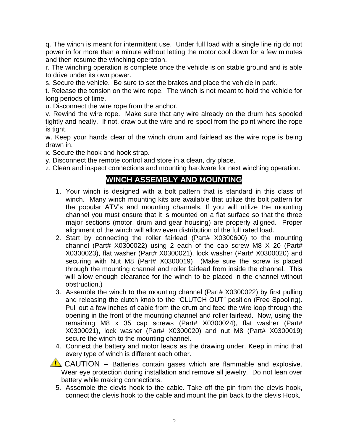q. The winch is meant for intermittent use. Under full load with a single line rig do not power in for more than a minute without letting the motor cool down for a few minutes and then resume the winching operation.

r. The winching operation is complete once the vehicle is on stable ground and is able to drive under its own power.

s. Secure the vehicle. Be sure to set the brakes and place the vehicle in park.

t. Release the tension on the wire rope. The winch is not meant to hold the vehicle for long periods of time.

u. Disconnect the wire rope from the anchor.

v. Rewind the wire rope. Make sure that any wire already on the drum has spooled tightly and neatly. If not, draw out the wire and re-spool from the point where the rope is tight.

w. Keep your hands clear of the winch drum and fairlead as the wire rope is being drawn in.

x. Secure the hook and hook strap.

y. Disconnect the remote control and store in a clean, dry place.

z. Clean and inspect connections and mounting hardware for next winching operation.

#### **WINCH ASSEMBLY AND MOUNTING**

- 1. Your winch is designed with a bolt pattern that is standard in this class of winch. Many winch mounting kits are available that utilize this bolt pattern for the popular ATV's and mounting channels. If you will utilize the mounting channel you must ensure that it is mounted on a flat surface so that the three major sections (motor, drum and gear housing) are properly aligned. Proper alignment of the winch will allow even distribution of the full rated load.
- 2. Start by connecting the roller fairlead (Part# X0300600) to the mounting channel (Part# X0300022) using 2 each of the cap screw M8 X 20 (Part# X0300023), flat washer (Part# X0300021), lock washer (Part# X0300020) and securing with Nut M8 (Part# X0300019) (Make sure the screw is placed through the mounting channel and roller fairlead from inside the channel. This will allow enough clearance for the winch to be placed in the channel without obstruction.)
- 3. Assemble the winch to the mounting channel (Part# X0300022) by first pulling and releasing the clutch knob to the "CLUTCH OUT" position (Free Spooling). Pull out a few inches of cable from the drum and feed the wire loop through the opening in the front of the mounting channel and roller fairlead. Now, using the remaining M8 x 35 cap screws (Part# X0300024), flat washer (Part# X0300021), lock washer (Part# X0300020) and nut M8 (Part# X0300019) secure the winch to the mounting channel.
- 4. Connect the battery and motor leads as the drawing under. Keep in mind that every type of winch is different each other.

 $\triangle$  CAUTION – Batteries contain gases which are flammable and explosive. Wear eye protection during installation and remove all jewelry. Do not lean over battery while making connections.

5. Assemble the clevis hook to the cable. Take off the pin from the clevis hook, connect the clevis hook to the cable and mount the pin back to the clevis Hook.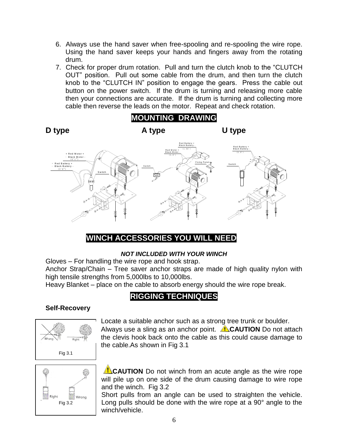- 6. Always use the hand saver when free-spooling and re-spooling the wire rope. Using the hand saver keeps your hands and fingers away from the rotating drum.
- 7. Check for proper drum rotation. Pull and turn the clutch knob to the "CLUTCH OUT" position. Pull out some cable from the drum, and then turn the clutch knob to the "CLUTCH IN" position to engage the gears. Press the cable out button on the power switch. If the drum is turning and releasing more cable then your connections are accurate. If the drum is turning and collecting more cable then reverse the leads on the motor. Repeat and check rotation.



#### **WINCH ACCESSORIES YOU WILL NEED**

#### *NOT INCLUDED WITH YOUR WINCH*

Gloves – For handling the wire rope and hook strap.

Anchor Strap/Chain – Tree saver anchor straps are made of high quality nylon with high tensile strengths from 5,000lbs to 10,000lbs.

Heavy Blanket – place on the cable to absorb energy should the wire rope break.

#### **RIGGING TECHNIQUES**

#### **Self-Recovery**



Locate a suitable anchor such as a strong tree trunk or boulder. Always use a sling as an anchor point. **ALCAUTION** Do not attach the clevis hook back onto the cable as this could cause damage to the cable.As shown in Fig 3.1



**CAUTION** Do not winch from an acute angle as the wire rope will pile up on one side of the drum causing damage to wire rope and the winch. Fig 3.2

Short pulls from an angle can be used to straighten the vehicle. Long pulls should be done with the wire rope at a 90° angle to the winch/vehicle.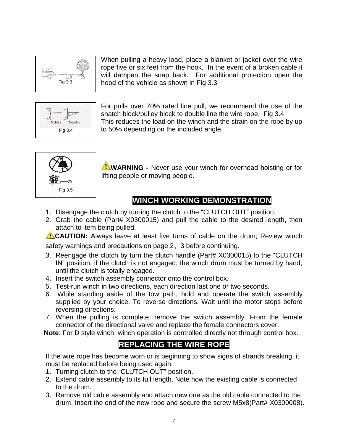

When pulling a heavy load, place a blanket or jacket over the wire rope five or six feet from the hook. In the event of a broken cable it will dampen the snap back. For additional protection open the hood of the vehicle as shown in Fig 3.3



For pulls over 70% rated line pull, we recommend the use of the snatch block/pulley block to double line the wire rope. Fig 3.4 This reduces the load on the winch and the strain on the rope by up to 50% depending on the included angle.



**WARNING -** Never use your winch for overhead hoisting or for lifting people or moving people.

## **WINCH WORKING DEMONSTRATION**

- 1. Disengage the clutch by turning the clutch to the "CLUTCH OUT" position.
- 2. Grab the cable (Part# X0300015) and pull the cable to the desired length, then attach to item being pulled.

**CAUTION:** Always leave at least five turns of cable on the drum; Review winch

safety warnings and precautions on page 2、3 before continuing.

- 3. Reengage the clutch by turn the clutch handle (Part# X0300015) to the "CLUTCH IN" position, if the clutch is not engaged, the winch drum must be turned by hand, until the clutch is totally engaged.
- 4. Insert the switch assembly connector onto the control box.
- 5. Test-run winch in two directions, each direction last one or two seconds.
- 6. While standing aside of the tow path, hold and operate the switch assembly supplied by your choice. To reverse directions. Wait until the motor stops before reversing directions.
- 7. When the pulling is complete, remove the switch assembly. From the female connector of the directional valve and replace the female connectors cover.

**Note**: For D style winch, winch operation is controlled directly not through control box.

#### **REPLACING THE WIRE ROPE**

If the wire rope has become worn or is beginning to show signs of strands breaking, it must be replaced before being used again.

- 1. Turning clutch to the "CLUTCH OUT" position.
- 2. Extend cable assembly to its full length. Note how the existing cable is connected to the drum.
- 3. Remove old cable assembly and attach new one as the old cable connected to the drum. Insert the end of the new rope and secure the screw M5x8(Part# X0300008).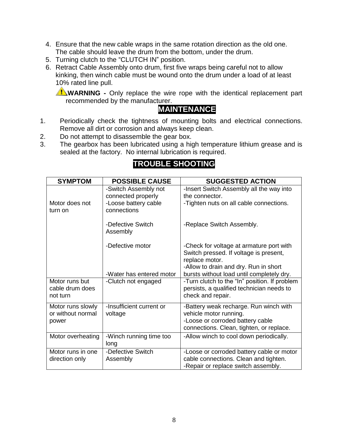- 4. Ensure that the new cable wraps in the same rotation direction as the old one. The cable should leave the drum from the bottom, under the drum.
- 5. Turning clutch to the "CLUTCH IN" position.
- 6. Retract Cable Assembly onto drum, first five wraps being careful not to allow kinking, then winch cable must be wound onto the drum under a load of at least 10% rated line pull.

**WARNING** - Only replace the wire rope with the identical replacement part recommended by the manufacturer.

#### **1. MAINTENANCE**

- 1. Periodically check the tightness of mounting bolts and electrical connections. Remove all dirt or corrosion and always keep clean.
- 2. Do not attempt to disassemble the gear box.
- 3. The gearbox has been lubricated using a high temperature lithium grease and is sealed at the factory. No internal lubrication is required.

| <b>SYMPTOM</b>                                  | <b>POSSIBLE CAUSE</b>                                                             | <b>SUGGESTED ACTION</b>                                                                                                                          |
|-------------------------------------------------|-----------------------------------------------------------------------------------|--------------------------------------------------------------------------------------------------------------------------------------------------|
| Motor does not<br>turn on                       | -Switch Assembly not<br>connected properly<br>-Loose battery cable<br>connections | -Insert Switch Assembly all the way into<br>the connector.<br>-Tighten nuts on all cable connections.                                            |
|                                                 | -Defective Switch<br>Assembly                                                     | -Replace Switch Assembly.                                                                                                                        |
|                                                 | -Defective motor                                                                  | -Check for voltage at armature port with<br>Switch pressed. If voltage is present,<br>replace motor.<br>-Allow to drain and dry. Run in short    |
|                                                 | -Water has entered motor                                                          | bursts without load until completely dry.                                                                                                        |
| Motor runs but<br>cable drum does<br>not turn   | -Clutch not engaged                                                               | -Turn clutch to the "In" position. If problem<br>persists, a qualified technician needs to<br>check and repair.                                  |
| Motor runs slowly<br>or without normal<br>power | -Insufficient current or<br>voltage                                               | -Battery weak recharge. Run winch with<br>vehicle motor running.<br>-Loose or corroded battery cable<br>connections. Clean, tighten, or replace. |
| Motor overheating                               | -Winch running time too<br>long                                                   | -Allow winch to cool down periodically.                                                                                                          |
| Motor runs in one<br>direction only             | -Defective Switch<br>Assembly                                                     | -Loose or corroded battery cable or motor<br>cable connections. Clean and tighten.<br>-Repair or replace switch assembly.                        |

## **TROUBLE SHOOTING**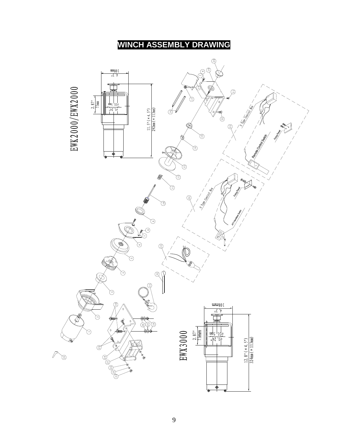## **WINCH ASSEMBLY DRAWING**

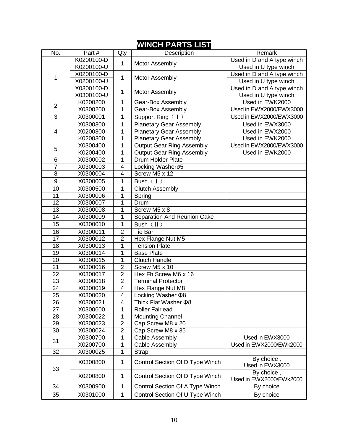### **WINCH PARTS LIST**

| $\overline{\text{No}}$ . | Part#      | Qty            | Description                      | Remark                                |
|--------------------------|------------|----------------|----------------------------------|---------------------------------------|
|                          | K0200100-D |                |                                  | Used in D and A type winch            |
|                          | K0200100-U | 1              | Motor Assembly                   | Used in U type winch                  |
|                          | X0200100-D |                |                                  | Used in D and A type winch            |
| 1                        | X0200100-U | 1              | Motor Assembly                   | Used in U type winch                  |
|                          | X0300100-D |                |                                  | Used in D and A type winch            |
|                          | X0300100-U | $\mathbf{1}$   | Motor Assembly                   | Used in U type winch                  |
| $\overline{2}$           | K0200200   | 1              | Gear-Box Assembly                | Used in EWK2000                       |
|                          | X0300200   | 1              | Gear-Box Assembly                | Used in EWX2000/EWX3000               |
| 3                        | X0300001   | 1              | Support Ring (I)                 | Used in EWX2000/EWX3000               |
|                          | X0300300   | 1              | <b>Planetary Gear Assembly</b>   | Used in EWX3000                       |
| 4                        | X0200300   | 1              | <b>Planetary Gear Assembly</b>   | Used in EWX2000                       |
|                          | K0200300   | 1              | <b>Planetary Gear Assembly</b>   | Used in EWK2000                       |
|                          | X0300400   | 1              | <b>Output Gear Ring Assembly</b> | Used in EWX2000/EWX3000               |
| 5                        | K0200400   | 1              | <b>Output Gear Ring Assembly</b> | Used in EWK2000                       |
| 6                        | X0300002   | 1              | <b>Drum Holder Plate</b>         |                                       |
| $\overline{7}$           | X0300003   | $\overline{4}$ | Locking Washerø5                 |                                       |
| $\overline{8}$           | X0300004   | $\overline{4}$ | Screw M5 x 12                    |                                       |
| $\boldsymbol{9}$         | X0300005   | 1              | Bush $(1)$                       |                                       |
| $\overline{10}$          | X0300500   | 1              | <b>Clutch Assembly</b>           |                                       |
| 11                       | X0300006   | 1              | Spring                           |                                       |
| $\overline{12}$          | X0300007   | 1              | Drum                             |                                       |
| $\overline{13}$          | X0300008   | 1              | Screw M5 x 8                     |                                       |
| 14                       | X0300009   | 1              | Separation And Reunion Cake      |                                       |
| 15                       | X0300010   | 1              | Bush $(\mathbb{I})$              |                                       |
| 16                       | X0300011   | $\overline{2}$ | <b>Tie Bar</b>                   |                                       |
| 17                       | X0300012   | $\overline{2}$ | Hex Flange Nut M5                |                                       |
| 18                       | X0300013   | 1              | <b>Tension Plate</b>             |                                       |
| 19                       | X0300014   | 1              | <b>Base Plate</b>                |                                       |
| 20                       | X0300015   | 1              | <b>Clutch Handle</b>             |                                       |
| $\overline{21}$          | X0300016   | $\overline{2}$ | Screw M5 x 10                    |                                       |
| $\overline{22}$          | X0300017   | $\overline{2}$ | Hex Fh Screw M6 x 16             |                                       |
| $\overline{23}$          | X0300018   | $\overline{2}$ | <b>Terminal Protector</b>        |                                       |
| 24                       | X0300019   | 4              | Hex Flange Nut M8                |                                       |
| $\overline{25}$          | X0300020   | $\overline{4}$ | Locking Washer ¢8                |                                       |
| 26                       | X0300021   | 4              | Thick Flat Washer Ф8             |                                       |
| 27                       | X0300600   | 1              | <b>Roller Fairlead</b>           |                                       |
| 28                       | X0300022   | 1              | <b>Mounting Channel</b>          |                                       |
| 29                       | X0300023   | $\overline{2}$ | Cap Screw M8 x 20                |                                       |
| 30                       | X0300024   | $\overline{2}$ | Cap Screw M8 x 35                |                                       |
| 31                       | X0300700   | 1              | <b>Cable Assembly</b>            | Used in EWX3000                       |
|                          | X0200700   | 1              | <b>Cable Assembly</b>            | Used in EWX2000/EWk2000               |
| 32                       | X0300025   | 1              | <b>Strap</b>                     |                                       |
| 33                       | X0300800   | 1              | Control Section Of D Type Winch  | By choice,<br>Used in EWX3000         |
|                          | X0200800   | 1              | Control Section Of D Type Winch  | By choice,<br>Used in EWX2000/EWk2000 |
| 34                       | X0300900   | 1              | Control Section Of A Type Winch  | By choice                             |
| 35                       | X0301000   | $\mathbf{1}$   | Control Section Of U Type Winch  | By choice                             |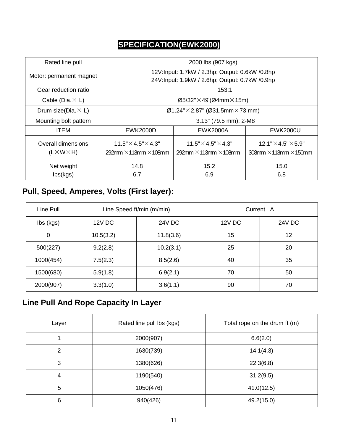## **SPECIFICATION(EWK2000)**

| Rated line pull                               | 2000 lbs (907 kgs)                                                     |                                                                        |                                                                           |
|-----------------------------------------------|------------------------------------------------------------------------|------------------------------------------------------------------------|---------------------------------------------------------------------------|
| Motor: permanent magnet                       | 12V:Input: 1.7kW / 2.3hp; Output: 0.6kW /0.8hp                         |                                                                        |                                                                           |
|                                               |                                                                        | 24V:Input: 1.9kW / 2.6hp; Output: 0.7kW /0.9hp                         |                                                                           |
| Gear reduction ratio                          |                                                                        | 153:1                                                                  |                                                                           |
| Cable (Dia. $\times$ L)                       |                                                                        | $\varnothing$ 5/32" $\times$ 49'( $\varnothing$ 4mm $\times$ 15m)      |                                                                           |
| Drum size(Dia. $\times$ L)                    | $\emptyset$ 1.24"×2.87" (Ø31.5mm×73 mm)                                |                                                                        |                                                                           |
| Mounting bolt pattern                         |                                                                        | 3.13" (79.5 mm); 2-M8                                                  |                                                                           |
| <b>ITEM</b>                                   | <b>EWK2000D</b>                                                        | EWK2000A                                                               | <b>EWK2000U</b>                                                           |
| Overall dimensions<br>$(L \times W \times H)$ | $11.5" \times 4.5" \times 4.3"$<br>292mm $\times$ 113mm $\times$ 108mm | $11.5" \times 4.5" \times 4.3"$<br>292mm $\times$ 113mm $\times$ 108mm | $12.1" \times 4.5" \times 5.9"$<br>$308$ mm $\times$ 113mm $\times$ 150mm |
| Net weight                                    | 14.8                                                                   | 15.2                                                                   | 15.0                                                                      |
| $\mathsf{lbs}(\mathsf{kgs})$                  | 6.7                                                                    | 6.9                                                                    | 6.8                                                                       |

## **Pull, Speed, Amperes, Volts (First layer):**

| Line Pull | Line Speed ft/min (m/min) |               |               | Current A     |
|-----------|---------------------------|---------------|---------------|---------------|
| lbs (kgs) | <b>12V DC</b>             | <b>24V DC</b> | <b>12V DC</b> | <b>24V DC</b> |
| 0         | 10.5(3.2)                 | 11.8(3.6)     | 15            | 12            |
| 500(227)  | 9.2(2.8)                  | 10.2(3.1)     | 25            | 20            |
| 1000(454) | 7.5(2.3)                  | 8.5(2.6)      | 40            | 35            |
| 1500(680) | 5.9(1.8)                  | 6.9(2.1)      | 70            | 50            |
| 2000(907) | 3.3(1.0)                  | 3.6(1.1)      | 90            | 70            |

## **Line Pull And Rope Capacity In Layer**

| Layer          | Rated line pull lbs (kgs) | Total rope on the drum ft (m) |
|----------------|---------------------------|-------------------------------|
|                | 2000(907)                 | 6.6(2.0)                      |
| $\overline{2}$ | 1630(739)                 | 14.1(4.3)                     |
| 3              | 1380(626)                 | 22.3(6.8)                     |
| $\overline{4}$ | 1190(540)                 | 31.2(9.5)                     |
| 5              | 1050(476)                 | 41.0(12.5)                    |
| 6              | 940(426)                  | 49.2(15.0)                    |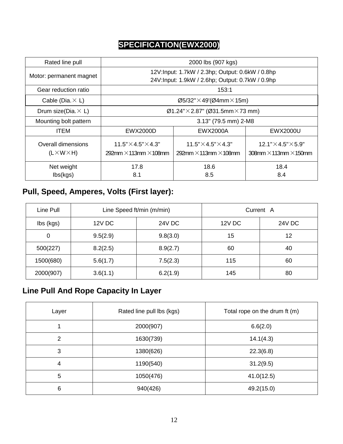## **SPECIFICATION(EWX2000)**

| Rated line pull                               | 2000 lbs (907 kgs)                                                     |                                                                        |                                                                                |  |
|-----------------------------------------------|------------------------------------------------------------------------|------------------------------------------------------------------------|--------------------------------------------------------------------------------|--|
| Motor: permanent magnet                       |                                                                        | 12V:Input: 1.7kW / 2.3hp; Output: 0.6kW / 0.8hp                        |                                                                                |  |
|                                               |                                                                        | 24V:Input: 1.9kW / 2.6hp; Output: 0.7kW / 0.9hp                        |                                                                                |  |
| Gear reduction ratio                          |                                                                        | 153:1                                                                  |                                                                                |  |
| Cable (Dia. $\times$ L)                       |                                                                        | $\varnothing$ 5/32" $\times$ 49'( $\varnothing$ 4mm $\times$ 15m)      |                                                                                |  |
| Drum size(Dia. $\times$ L)                    | $\emptyset$ 1.24"×2.87" ( $\emptyset$ 31.5mm×73 mm)                    |                                                                        |                                                                                |  |
| Mounting bolt pattern                         |                                                                        | 3.13" (79.5 mm) 2-M8                                                   |                                                                                |  |
| <b>ITEM</b>                                   | EWX2000D                                                               | EWX2000A                                                               | EWX2000U                                                                       |  |
| Overall dimensions<br>$(L \times W \times H)$ | $11.5" \times 4.5" \times 4.3"$<br>292mm $\times$ 113mm $\times$ 108mm | $11.5" \times 4.5" \times 4.3"$<br>292mm $\times$ 113mm $\times$ 108mm | $12.1$ " $\times$ 4.5" $\times$ 5.9"<br>$308$ mm $\times$ 113mm $\times$ 150mm |  |
| Net weight                                    | 17.8                                                                   | 18.6                                                                   | 18.4                                                                           |  |
| $\mathsf{lbs}(\mathsf{kgs})$                  | 8.1                                                                    | 8.5                                                                    | 8.4                                                                            |  |

## **Pull, Speed, Amperes, Volts (First layer):**

| Line Pull | Line Speed ft/min (m/min) |          |               | Current A     |
|-----------|---------------------------|----------|---------------|---------------|
| lbs (kgs) | <b>12V DC</b>             | 24V DC   | <b>12V DC</b> | <b>24V DC</b> |
| 0         | 9.5(2.9)                  | 9.8(3.0) | 15            | 12            |
| 500(227)  | 8.2(2.5)                  | 8.9(2.7) | 60            | 40            |
| 1500(680) | 5.6(1.7)                  | 7.5(2.3) | 115           | 60            |
| 2000(907) | 3.6(1.1)                  | 6.2(1.9) | 145           | 80            |

# **Line Pull And Rope Capacity In Layer**

| Layer | Rated line pull lbs (kgs) | Total rope on the drum ft (m) |  |
|-------|---------------------------|-------------------------------|--|
| 1     | 2000(907)                 | 6.6(2.0)                      |  |
| 2     | 1630(739)                 | 14.1(4.3)                     |  |
| 3     | 1380(626)                 | 22.3(6.8)                     |  |
| 4     | 1190(540)                 | 31.2(9.5)                     |  |
| 5     | 1050(476)                 | 41.0(12.5)                    |  |
| 6     | 940(426)                  | 49.2(15.0)                    |  |